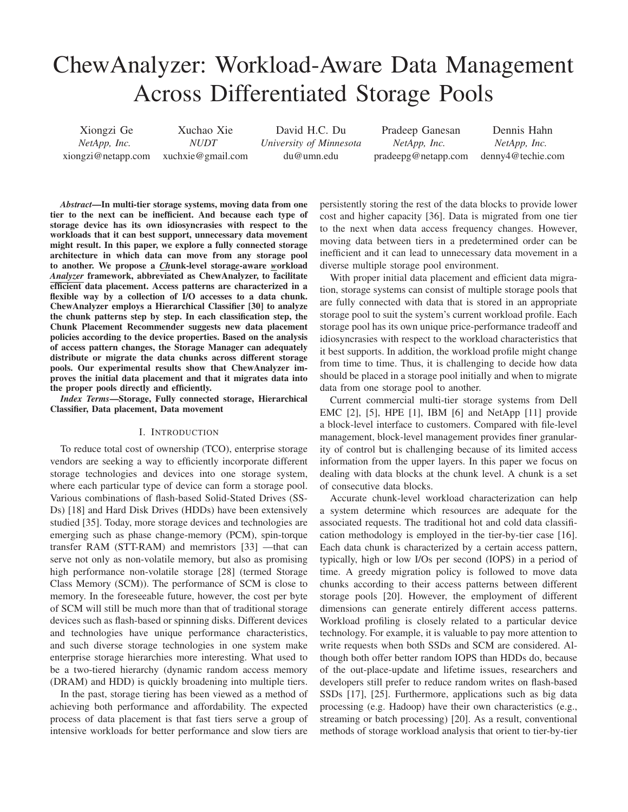# ChewAnalyzer: Workload-Aware Data Management Across Differentiated Storage Pools

Xiongzi Ge *NetApp, Inc.* xiongzi@netapp.com Xuchao Xie *NUDT* xuchxie@gmail.com David H.C. Du *University of Minnesota* du@umn.edu Pradeep Ganesan *NetApp, Inc.* pradeepg@netapp.com Dennis Hahn *NetApp, Inc.* denny4@techie.com

*Abstract*—In multi-tier storage systems, moving data from one tier to the next can be inefficient. And because each type of storage device has its own idiosyncrasies with respect to the workloads that it can best support, unnecessary data movement might result. In this paper, we explore a fully connected storage architecture in which data can move from any storage pool to another. We propose a *Ch*unk-level storag*e*-aware *w*orkload *Analyzer* framework, abbreviated as ChewAnalyzer, to facilitate efficient data placement. Access patterns are characterized in a flexible way by a collection of I/O accesses to a data chunk. ChewAnalyzer employs a Hierarchical Classifier [30] to analyze the chunk patterns step by step. In each classification step, the Chunk Placement Recommender suggests new data placement policies according to the device properties. Based on the analysis of access pattern changes, the Storage Manager can adequately distribute or migrate the data chunks across different storage pools. Our experimental results show that ChewAnalyzer improves the initial data placement and that it migrates data into the proper pools directly and efficiently.

*Index Terms*—Storage, Fully connected storage, Hierarchical Classifier, Data placement, Data movement

#### I. INTRODUCTION

To reduce total cost of ownership (TCO), enterprise storage vendors are seeking a way to efficiently incorporate different storage technologies and devices into one storage system, where each particular type of device can form a storage pool. Various combinations of flash-based Solid-Stated Drives (SS-Ds) [18] and Hard Disk Drives (HDDs) have been extensively studied [35]. Today, more storage devices and technologies are emerging such as phase change-memory (PCM), spin-torque transfer RAM (STT-RAM) and memristors [33] —that can serve not only as non-volatile memory, but also as promising high performance non-volatile storage [28] (termed Storage Class Memory (SCM)). The performance of SCM is close to memory. In the foreseeable future, however, the cost per byte of SCM will still be much more than that of traditional storage devices such as flash-based or spinning disks. Different devices and technologies have unique performance characteristics, and such diverse storage technologies in one system make enterprise storage hierarchies more interesting. What used to be a two-tiered hierarchy (dynamic random access memory (DRAM) and HDD) is quickly broadening into multiple tiers.

In the past, storage tiering has been viewed as a method of achieving both performance and affordability. The expected process of data placement is that fast tiers serve a group of intensive workloads for better performance and slow tiers are

persistently storing the rest of the data blocks to provide lower cost and higher capacity [36]. Data is migrated from one tier to the next when data access frequency changes. However, moving data between tiers in a predetermined order can be inefficient and it can lead to unnecessary data movement in a diverse multiple storage pool environment.

With proper initial data placement and efficient data migration, storage systems can consist of multiple storage pools that are fully connected with data that is stored in an appropriate storage pool to suit the system's current workload profile. Each storage pool has its own unique price-performance tradeoff and idiosyncrasies with respect to the workload characteristics that it best supports. In addition, the workload profile might change from time to time. Thus, it is challenging to decide how data should be placed in a storage pool initially and when to migrate data from one storage pool to another.

Current commercial multi-tier storage systems from Dell EMC [2], [5], HPE [1], IBM [6] and NetApp [11] provide a block-level interface to customers. Compared with file-level management, block-level management provides finer granularity of control but is challenging because of its limited access information from the upper layers. In this paper we focus on dealing with data blocks at the chunk level. A chunk is a set of consecutive data blocks.

Accurate chunk-level workload characterization can help a system determine which resources are adequate for the associated requests. The traditional hot and cold data classification methodology is employed in the tier-by-tier case [16]. Each data chunk is characterized by a certain access pattern, typically, high or low I/Os per second (IOPS) in a period of time. A greedy migration policy is followed to move data chunks according to their access patterns between different storage pools [20]. However, the employment of different dimensions can generate entirely different access patterns. Workload profiling is closely related to a particular device technology. For example, it is valuable to pay more attention to write requests when both SSDs and SCM are considered. Although both offer better random IOPS than HDDs do, because of the out-place-update and lifetime issues, researchers and developers still prefer to reduce random writes on flash-based SSDs [17], [25]. Furthermore, applications such as big data processing (e.g. Hadoop) have their own characteristics (e.g., streaming or batch processing) [20]. As a result, conventional methods of storage workload analysis that orient to tier-by-tier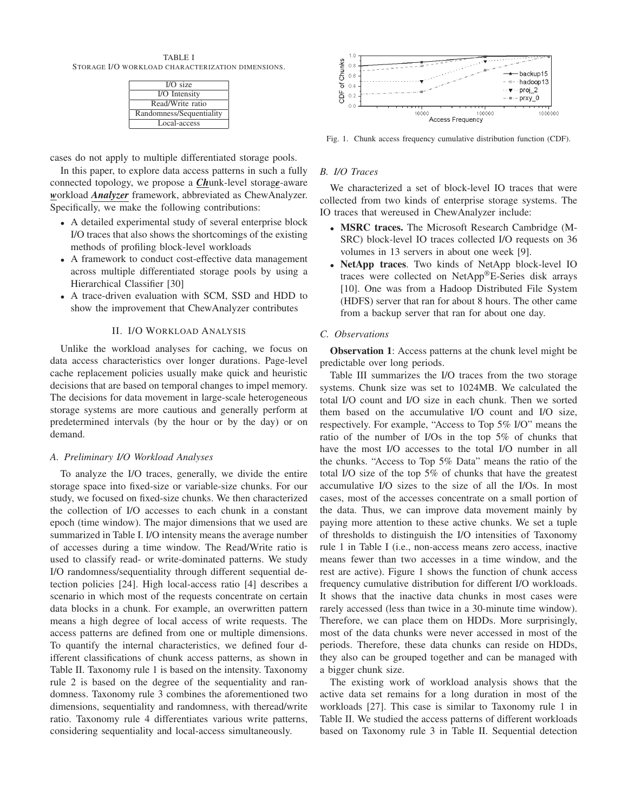TABLE I STORAGE I/O WORKLOAD CHARACTERIZATION DIMENSIONS.

| $I/O$ size               |
|--------------------------|
| I/O Intensity            |
| Read/Write ratio         |
| Randomness/Sequentiality |
| Local-access             |

cases do not apply to multiple differentiated storage pools.

In this paper, to explore data access patterns in such a fully connected topology, we propose a *Ch*unk-level storag*e*-aware *w*orkload *Analyzer* framework, abbreviated as ChewAnalyzer. Specifically, we make the following contributions:

- A detailed experimental study of several enterprise block I/O traces that also shows the shortcomings of the existing methods of profiling block-level workloads
- A framework to conduct cost-effective data management across multiple differentiated storage pools by using a Hierarchical Classifier [30]
- A trace-driven evaluation with SCM, SSD and HDD to show the improvement that ChewAnalyzer contributes

# II. I/O WORKLOAD ANALYSIS

Unlike the workload analyses for caching, we focus on data access characteristics over longer durations. Page-level cache replacement policies usually make quick and heuristic decisions that are based on temporal changes to impel memory. The decisions for data movement in large-scale heterogeneous storage systems are more cautious and generally perform at predetermined intervals (by the hour or by the day) or on demand.

# *A. Preliminary I/O Workload Analyses*

To analyze the I/O traces, generally, we divide the entire storage space into fixed-size or variable-size chunks. For our study, we focused on fixed-size chunks. We then characterized the collection of I/O accesses to each chunk in a constant epoch (time window). The major dimensions that we used are summarized in Table I. I/O intensity means the average number of accesses during a time window. The Read/Write ratio is used to classify read- or write-dominated patterns. We study I/O randomness/sequentiality through different sequential detection policies [24]. High local-access ratio [4] describes a scenario in which most of the requests concentrate on certain data blocks in a chunk. For example, an overwritten pattern means a high degree of local access of write requests. The access patterns are defined from one or multiple dimensions. To quantify the internal characteristics, we defined four different classifications of chunk access patterns, as shown in Table II. Taxonomy rule 1 is based on the intensity. Taxonomy rule 2 is based on the degree of the sequentiality and randomness. Taxonomy rule 3 combines the aforementioned two dimensions, sequentiality and randomness, with theread/write ratio. Taxonomy rule 4 differentiates various write patterns, considering sequentiality and local-access simultaneously.



Fig. 1. Chunk access frequency cumulative distribution function (CDF).

# *B. I/O Traces*

We characterized a set of block-level IO traces that were collected from two kinds of enterprise storage systems. The IO traces that wereused in ChewAnalyzer include:

- MSRC traces. The Microsoft Research Cambridge (M-SRC) block-level IO traces collected I/O requests on 36 volumes in 13 servers in about one week [9].
- NetApp traces. Two kinds of NetApp block-level IO traces were collected on NetApp®E-Series disk arrays [10]. One was from a Hadoop Distributed File System (HDFS) server that ran for about 8 hours. The other came from a backup server that ran for about one day.

# *C. Observations*

Observation 1: Access patterns at the chunk level might be predictable over long periods.

Table III summarizes the I/O traces from the two storage systems. Chunk size was set to 1024MB. We calculated the total I/O count and I/O size in each chunk. Then we sorted them based on the accumulative I/O count and I/O size, respectively. For example, "Access to Top 5% I/O" means the ratio of the number of I/Os in the top 5% of chunks that have the most I/O accesses to the total I/O number in all the chunks. "Access to Top 5% Data" means the ratio of the total I/O size of the top 5% of chunks that have the greatest accumulative I/O sizes to the size of all the I/Os. In most cases, most of the accesses concentrate on a small portion of the data. Thus, we can improve data movement mainly by paying more attention to these active chunks. We set a tuple of thresholds to distinguish the I/O intensities of Taxonomy rule 1 in Table I (i.e., non-access means zero access, inactive means fewer than two accesses in a time window, and the rest are active). Figure 1 shows the function of chunk access frequency cumulative distribution for different I/O workloads. It shows that the inactive data chunks in most cases were rarely accessed (less than twice in a 30-minute time window). Therefore, we can place them on HDDs. More surprisingly, most of the data chunks were never accessed in most of the periods. Therefore, these data chunks can reside on HDDs, they also can be grouped together and can be managed with a bigger chunk size.

The existing work of workload analysis shows that the active data set remains for a long duration in most of the workloads [27]. This case is similar to Taxonomy rule 1 in Table II. We studied the access patterns of different workloads based on Taxonomy rule 3 in Table II. Sequential detection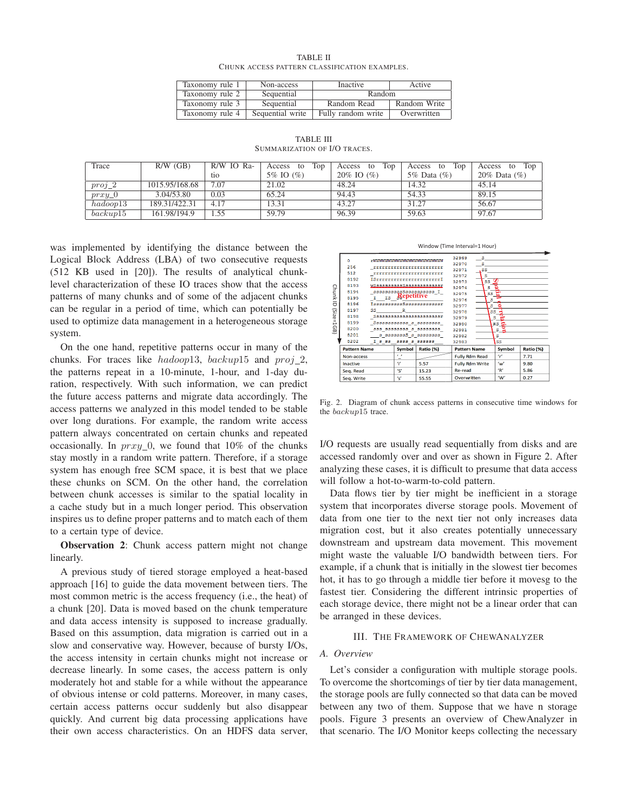| <b>TABLE II</b>                               |  |
|-----------------------------------------------|--|
| CHUNK ACCESS PATTERN CLASSIFICATION EXAMPLES. |  |

| Taxonomy rule 1 | Non-access       | <b>Inactive</b>    | Active       |
|-----------------|------------------|--------------------|--------------|
| Taxonomy rule 2 | Sequential       | Random             |              |
| Taxonomy rule 3 | Sequential       | Random Read        | Random Write |
| Taxonomy rule 4 | Sequential write | Fully random write | Overwritten  |

TABLE III SUMMARIZATION OF I/O TRACES.

| Trace                 | $R/W$ (GB)     | R/W IO Ra- | Top<br>Access to | Top<br>Access to | Top<br>Access to | Top<br>Access to |
|-----------------------|----------------|------------|------------------|------------------|------------------|------------------|
|                       |                | tio        | 5% IO (%)        | $20\%$ IO $(\%)$ | 5\% Data $(\%)$  | 20% Data $(\%)$  |
| $proj_2$              | 1015.95/168.68 | 7.07       | 21.02            | 48.24            | 14.32            | 45.14            |
| $prxy_0$              | 3.04/53.80     | 0.03       | 65.24            | 94.43            | 54.33            | 89.15            |
| hadoop13              | 189.31/422.31  | 4.17       | 13.31            | 43.27            | 31.27            | 56.67            |
| $backu$ <sup>15</sup> | 161.98/194.9   | 1.55       | 59.79            | 96.39            | 59.63            | 97.67            |

was implemented by identifying the distance between the Logical Block Address (LBA) of two consecutive requests (512 KB used in [20]). The results of analytical chunklevel characterization of these IO traces show that the access patterns of many chunks and of some of the adjacent chunks can be regular in a period of time, which can potentially be used to optimize data management in a heterogeneous storage system.

On the one hand, repetitive patterns occur in many of the chunks. For traces like hadoop13, backup15 and proj 2, the patterns repeat in a 10-minute, 1-hour, and 1-day duration, respectively. With such information, we can predict the future access patterns and migrate data accordingly. The access patterns we analyzed in this model tended to be stable over long durations. For example, the random write access pattern always concentrated on certain chunks and repeated occasionally. In  $prxy_0$ , we found that 10% of the chunks stay mostly in a random write pattern. Therefore, if a storage system has enough free SCM space, it is best that we place these chunks on SCM. On the other hand, the correlation between chunk accesses is similar to the spatial locality in a cache study but in a much longer period. This observation inspires us to define proper patterns and to match each of them to a certain type of device.

Observation 2: Chunk access pattern might not change linearly.

A previous study of tiered storage employed a heat-based approach [16] to guide the data movement between tiers. The most common metric is the access frequency (i.e., the heat) of a chunk [20]. Data is moved based on the chunk temperature and data access intensity is supposed to increase gradually. Based on this assumption, data migration is carried out in a slow and conservative way. However, because of bursty I/Os, the access intensity in certain chunks might not increase or decrease linearly. In some cases, the access pattern is only moderately hot and stable for a while without the appearance of obvious intense or cold patterns. Moreover, in many cases, certain access patterns occur suddenly but also disappear quickly. And current big data processing applications have their own access characteristics. On an HDFS data server,

#### Window (Time Interval=1 Hour)

| Chunk<br>$\overline{a}$<br>(Size<br>Ш<br>568 | n<br>256<br>512<br>8192<br>8193<br>8194<br>8195<br>8196<br>8197<br>8198<br>8199<br>8200<br>8201<br>8202 | <b>MWWWWWWWWWWWWWWWWWWWW</b><br>*************************<br>,,,,,,,,,,,,,,,,,,,,,,,,,,,,<br>WSsssssssssSssssssssssssss<br>sssssssagSsssagsssss I<br>$_{I}$ $_{IS}$ gepetitive<br>IsssssssssSsssssssssssssr<br>SS<br>R<br>Sssssssssssssssssssssssr<br>Ssssssssssss s ssssssss<br>333 33333333 3 33333333<br>I s ss<br>3333 3 333333 |            |           | s<br>32969<br>32970<br>s<br>32971<br>.ss<br>32972<br>s<br>$ss$ <sup><math>\overline{\mathbf{w}}</math></sup><br>32973<br>32974<br>s<br>SS<br>32975<br>32976<br>s<br>32977<br>s<br>SS<br>32978<br>32979<br>s<br>RS<br>32980<br>s ≅<br>32981<br>32982<br>s |  |                            |           |
|----------------------------------------------|---------------------------------------------------------------------------------------------------------|-------------------------------------------------------------------------------------------------------------------------------------------------------------------------------------------------------------------------------------------------------------------------------------------------------------------------------------|------------|-----------|----------------------------------------------------------------------------------------------------------------------------------------------------------------------------------------------------------------------------------------------------------|--|----------------------------|-----------|
|                                              | <b>Pattern Name</b>                                                                                     |                                                                                                                                                                                                                                                                                                                                     | Symbol     | Ratio (%) | 32983<br><b>Pattern Name</b>                                                                                                                                                                                                                             |  | <b>SS</b><br><b>Symbol</b> | Ratio (%) |
|                                              | Non-access                                                                                              |                                                                                                                                                                                                                                                                                                                                     | $\epsilon$ |           | <b>Fully Rdm Read</b>                                                                                                                                                                                                                                    |  | ÷                          | 7.71      |
|                                              | Inactive                                                                                                |                                                                                                                                                                                                                                                                                                                                     | Ÿ          | 5.57      | <b>Fully Rdm Write</b>                                                                                                                                                                                                                                   |  | 'w'                        | 9.80      |
|                                              | Seq. Read                                                                                               |                                                                                                                                                                                                                                                                                                                                     | 'S'        | 15.23     | Re-read                                                                                                                                                                                                                                                  |  | 'R'                        | 5.86      |
|                                              | Sea. Write                                                                                              |                                                                                                                                                                                                                                                                                                                                     | 's'        | 55.55     | Overwritten                                                                                                                                                                                                                                              |  | 'W'                        | 0.27      |

Fig. 2. Diagram of chunk access patterns in consecutive time windows for the backup15 trace.

I/O requests are usually read sequentially from disks and are accessed randomly over and over as shown in Figure 2. After analyzing these cases, it is difficult to presume that data access will follow a hot-to-warm-to-cold pattern.

Data flows tier by tier might be inefficient in a storage system that incorporates diverse storage pools. Movement of data from one tier to the next tier not only increases data migration cost, but it also creates potentially unnecessary downstream and upstream data movement. This movement might waste the valuable I/O bandwidth between tiers. For example, if a chunk that is initially in the slowest tier becomes hot, it has to go through a middle tier before it movesg to the fastest tier. Considering the different intrinsic properties of each storage device, there might not be a linear order that can be arranged in these devices.

### III. THE FRAMEWORK OF CHEWANALYZER

# *A. Overview*

Let's consider a configuration with multiple storage pools. To overcome the shortcomings of tier by tier data management, the storage pools are fully connected so that data can be moved between any two of them. Suppose that we have n storage pools. Figure 3 presents an overview of ChewAnalyzer in that scenario. The I/O Monitor keeps collecting the necessary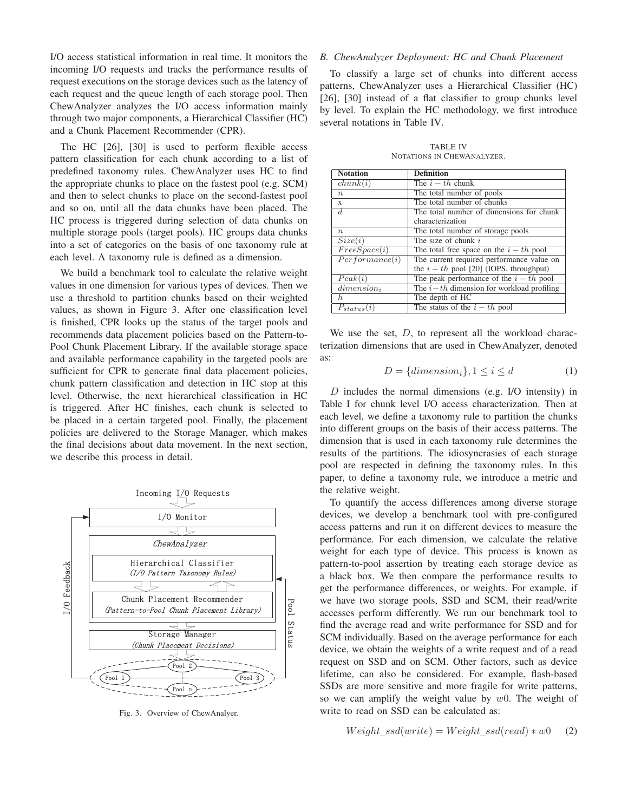I/O access statistical information in real time. It monitors the incoming I/O requests and tracks the performance results of request executions on the storage devices such as the latency of each request and the queue length of each storage pool. Then ChewAnalyzer analyzes the I/O access information mainly through two major components, a Hierarchical Classifier (HC) and a Chunk Placement Recommender (CPR).

The HC [26], [30] is used to perform flexible access pattern classification for each chunk according to a list of predefined taxonomy rules. ChewAnalyzer uses HC to find the appropriate chunks to place on the fastest pool (e.g. SCM) and then to select chunks to place on the second-fastest pool and so on, until all the data chunks have been placed. The HC process is triggered during selection of data chunks on multiple storage pools (target pools). HC groups data chunks into a set of categories on the basis of one taxonomy rule at each level. A taxonomy rule is defined as a dimension.

We build a benchmark tool to calculate the relative weight values in one dimension for various types of devices. Then we use a threshold to partition chunks based on their weighted values, as shown in Figure 3. After one classification level is finished, CPR looks up the status of the target pools and recommends data placement policies based on the Pattern-to-Pool Chunk Placement Library. If the available storage space and available performance capability in the targeted pools are sufficient for CPR to generate final data placement policies, chunk pattern classification and detection in HC stop at this level. Otherwise, the next hierarchical classification in HC is triggered. After HC finishes, each chunk is selected to be placed in a certain targeted pool. Finally, the placement policies are delivered to the Storage Manager, which makes the final decisions about data movement. In the next section, we describe this process in detail.



Fig. 3. Overview of ChewAnalyer.

# *B. ChewAnalyzer Deployment: HC and Chunk Placement*

To classify a large set of chunks into different access patterns, ChewAnalyzer uses a Hierarchical Classifier (HC) [26], [30] instead of a flat classifier to group chunks level by level. To explain the HC methodology, we first introduce several notations in Table IV.

TABLE IV NOTATIONS IN CHEWANALYZER.

| <b>Notation</b>        | <b>Definition</b>                           |
|------------------------|---------------------------------------------|
| chunk(i)               | The $i-th$ chunk                            |
| $\boldsymbol{n}$       | The total number of pools                   |
| X                      | The total number of chunks                  |
| d.                     | The total number of dimensions for chunk    |
|                        | characterization                            |
| $n_{\cdot}$            | The total number of storage pools           |
| Size(i)                | The size of chunk $i$                       |
| FreeSpace(i)           | The total free space on the $i-th$ pool     |
| Performance(i)         | The current required performance value on   |
|                        | the $i - th$ pool [20] (IOPS, throughput)   |
| Peak(i)                | The peak performance of the $i-th$ pool     |
| dimension <sub>i</sub> | The $i-th$ dimension for workload profiling |
| h.                     | The depth of HC                             |
| $P_{status}(i)$        | The status of the $i-th$ pool               |

We use the set,  $D$ , to represent all the workload characterization dimensions that are used in ChewAnalyzer, denoted as:

$$
D = \{dimension_i\}, 1 \le i \le d \tag{1}
$$

D includes the normal dimensions (e.g. I/O intensity) in Table I for chunk level I/O access characterization. Then at each level, we define a taxonomy rule to partition the chunks into different groups on the basis of their access patterns. The dimension that is used in each taxonomy rule determines the results of the partitions. The idiosyncrasies of each storage pool are respected in defining the taxonomy rules. In this paper, to define a taxonomy rule, we introduce a metric and the relative weight.

To quantify the access differences among diverse storage devices, we develop a benchmark tool with pre-configured access patterns and run it on different devices to measure the performance. For each dimension, we calculate the relative weight for each type of device. This process is known as pattern-to-pool assertion by treating each storage device as a black box. We then compare the performance results to get the performance differences, or weights. For example, if we have two storage pools, SSD and SCM, their read/write accesses perform differently. We run our benchmark tool to find the average read and write performance for SSD and for SCM individually. Based on the average performance for each device, we obtain the weights of a write request and of a read request on SSD and on SCM. Other factors, such as device lifetime, can also be considered. For example, flash-based SSDs are more sensitive and more fragile for write patterns, so we can amplify the weight value by  $w0$ . The weight of write to read on SSD can be calculated as:

$$
Weight\_ssd(write) = Weight\_ssd(read) * w0 \quad (2)
$$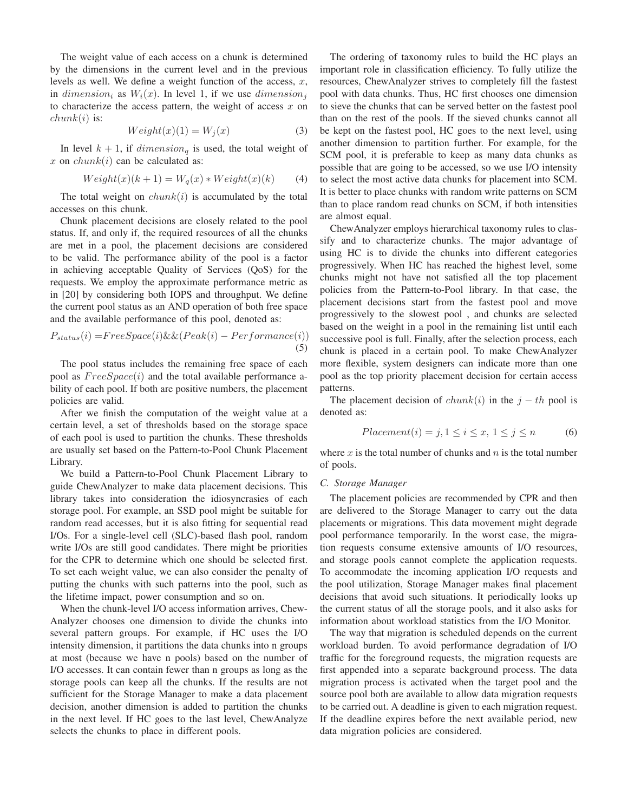The weight value of each access on a chunk is determined by the dimensions in the current level and in the previous levels as well. We define a weight function of the access,  $x$ , in dimension<sub>i</sub> as  $W_i(x)$ . In level 1, if we use dimension<sub>i</sub> to characterize the access pattern, the weight of access  $x$  on  $chunk(i)$  is:

$$
Weight(x)(1) = W_j(x)
$$
\n(3)

In level  $k + 1$ , if  $dimension_{\alpha}$  is used, the total weight of x on  $chunk(i)$  can be calculated as:

$$
Weight(x)(k+1) = Wq(x) * Weight(x)(k)
$$
 (4)

The total weight on  $chunk(i)$  is accumulated by the total accesses on this chunk.

Chunk placement decisions are closely related to the pool status. If, and only if, the required resources of all the chunks are met in a pool, the placement decisions are considered to be valid. The performance ability of the pool is a factor in achieving acceptable Quality of Services (QoS) for the requests. We employ the approximate performance metric as in [20] by considering both IOPS and throughput. We define the current pool status as an AND operation of both free space and the available performance of this pool, denoted as:

$$
P_{status}(i) = FreeSpace(i) \&\& (Peak(i) - Performance(i))
$$
\n(5)

The pool status includes the remaining free space of each pool as  $FreeSpace(i)$  and the total available performance ability of each pool. If both are positive numbers, the placement policies are valid.

After we finish the computation of the weight value at a certain level, a set of thresholds based on the storage space of each pool is used to partition the chunks. These thresholds are usually set based on the Pattern-to-Pool Chunk Placement Library.

We build a Pattern-to-Pool Chunk Placement Library to guide ChewAnalyzer to make data placement decisions. This library takes into consideration the idiosyncrasies of each storage pool. For example, an SSD pool might be suitable for random read accesses, but it is also fitting for sequential read I/Os. For a single-level cell (SLC)-based flash pool, random write I/Os are still good candidates. There might be priorities for the CPR to determine which one should be selected first. To set each weight value, we can also consider the penalty of putting the chunks with such patterns into the pool, such as the lifetime impact, power consumption and so on.

When the chunk-level I/O access information arrives, Chew-Analyzer chooses one dimension to divide the chunks into several pattern groups. For example, if HC uses the I/O intensity dimension, it partitions the data chunks into n groups at most (because we have n pools) based on the number of I/O accesses. It can contain fewer than n groups as long as the storage pools can keep all the chunks. If the results are not sufficient for the Storage Manager to make a data placement decision, another dimension is added to partition the chunks in the next level. If HC goes to the last level, ChewAnalyze selects the chunks to place in different pools.

The ordering of taxonomy rules to build the HC plays an important role in classification efficiency. To fully utilize the resources, ChewAnalyzer strives to completely fill the fastest pool with data chunks. Thus, HC first chooses one dimension to sieve the chunks that can be served better on the fastest pool than on the rest of the pools. If the sieved chunks cannot all be kept on the fastest pool, HC goes to the next level, using another dimension to partition further. For example, for the SCM pool, it is preferable to keep as many data chunks as possible that are going to be accessed, so we use I/O intensity to select the most active data chunks for placement into SCM. It is better to place chunks with random write patterns on SCM than to place random read chunks on SCM, if both intensities are almost equal.

ChewAnalyzer employs hierarchical taxonomy rules to classify and to characterize chunks. The major advantage of using HC is to divide the chunks into different categories progressively. When HC has reached the highest level, some chunks might not have not satisfied all the top placement policies from the Pattern-to-Pool library. In that case, the placement decisions start from the fastest pool and move progressively to the slowest pool , and chunks are selected based on the weight in a pool in the remaining list until each successive pool is full. Finally, after the selection process, each chunk is placed in a certain pool. To make ChewAnalyzer more flexible, system designers can indicate more than one pool as the top priority placement decision for certain access patterns.

The placement decision of  $chunk(i)$  in the  $j - th$  pool is denoted as:

$$
Placement(i) = j, 1 \le i \le x, 1 \le j \le n \tag{6}
$$

where  $x$  is the total number of chunks and  $n$  is the total number of pools.

# *C. Storage Manager*

The placement policies are recommended by CPR and then are delivered to the Storage Manager to carry out the data placements or migrations. This data movement might degrade pool performance temporarily. In the worst case, the migration requests consume extensive amounts of I/O resources, and storage pools cannot complete the application requests. To accommodate the incoming application I/O requests and the pool utilization, Storage Manager makes final placement decisions that avoid such situations. It periodically looks up the current status of all the storage pools, and it also asks for information about workload statistics from the I/O Monitor.

The way that migration is scheduled depends on the current workload burden. To avoid performance degradation of I/O traffic for the foreground requests, the migration requests are first appended into a separate background process. The data migration process is activated when the target pool and the source pool both are available to allow data migration requests to be carried out. A deadline is given to each migration request. If the deadline expires before the next available period, new data migration policies are considered.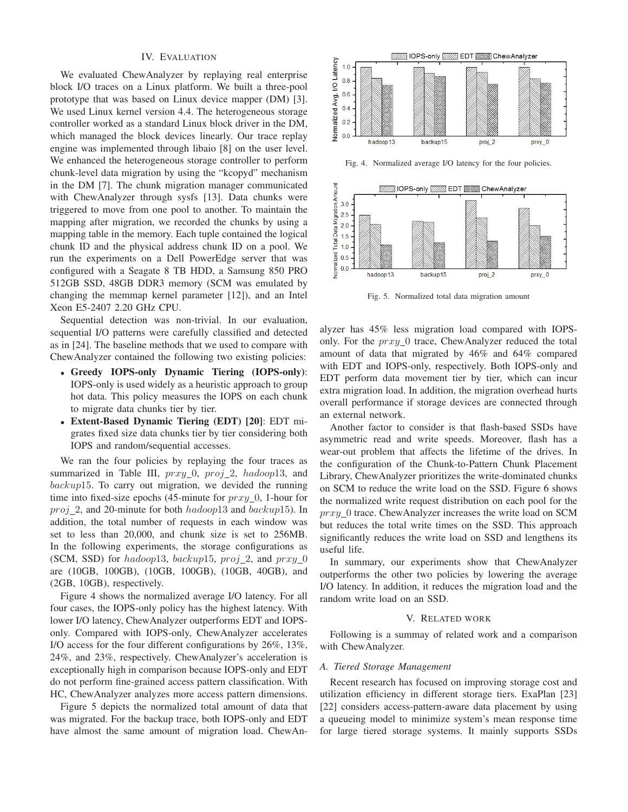#### IV. EVALUATION

We evaluated ChewAnalyzer by replaying real enterprise block I/O traces on a Linux platform. We built a three-pool prototype that was based on Linux device mapper (DM) [3]. We used Linux kernel version 4.4. The heterogeneous storage controller worked as a standard Linux block driver in the DM, which managed the block devices linearly. Our trace replay engine was implemented through libaio [8] on the user level. We enhanced the heterogeneous storage controller to perform chunk-level data migration by using the "kcopyd" mechanism in the DM [7]. The chunk migration manager communicated with ChewAnalyzer through sysfs [13]. Data chunks were triggered to move from one pool to another. To maintain the mapping after migration, we recorded the chunks by using a mapping table in the memory. Each tuple contained the logical chunk ID and the physical address chunk ID on a pool. We run the experiments on a Dell PowerEdge server that was configured with a Seagate 8 TB HDD, a Samsung 850 PRO 512GB SSD, 48GB DDR3 memory (SCM was emulated by changing the memmap kernel parameter [12]), and an Intel Xeon E5-2407 2.20 GHz CPU.

Sequential detection was non-trivial. In our evaluation, sequential I/O patterns were carefully classified and detected as in [24]. The baseline methods that we used to compare with ChewAnalyzer contained the following two existing policies:

- Greedy IOPS-only Dynamic Tiering (IOPS-only): IOPS-only is used widely as a heuristic approach to group hot data. This policy measures the IOPS on each chunk to migrate data chunks tier by tier.
- Extent-Based Dynamic Tiering (EDT) [20]: EDT migrates fixed size data chunks tier by tier considering both IOPS and random/sequential accesses.

We ran the four policies by replaying the four traces as summarized in Table III,  $prxy_0$ ,  $proj_2$ ,  $hadoop13$ , and backup15. To carry out migration, we devided the running time into fixed-size epochs (45-minute for  $\eta r x y$ ), 1-hour for  $proj_2$ , and 20-minute for both  $hadoop13$  and  $backup15$ ). In addition, the total number of requests in each window was set to less than 20,000, and chunk size is set to 256MB. In the following experiments, the storage configurations as (SCM, SSD) for hadoop13, backup15, proj\_2, and  $prxy_0$ are (10GB, 100GB), (10GB, 100GB), (10GB, 40GB), and (2GB, 10GB), respectively.

Figure 4 shows the normalized average I/O latency. For all four cases, the IOPS-only policy has the highest latency. With lower I/O latency, ChewAnalyzer outperforms EDT and IOPSonly. Compared with IOPS-only, ChewAnalyzer accelerates I/O access for the four different configurations by 26%, 13%, 24%, and 23%, respectively. ChewAnalyzer's acceleration is exceptionally high in comparison because IOPS-only and EDT do not perform fine-grained access pattern classification. With HC, ChewAnalyzer analyzes more access pattern dimensions.

Figure 5 depicts the normalized total amount of data that was migrated. For the backup trace, both IOPS-only and EDT have almost the same amount of migration load. ChewAn-



Fig. 4. Normalized average I/O latency for the four policies.



Fig. 5. Normalized total data migration amount

alyzer has 45% less migration load compared with IOPSonly. For the  $prxy_0$  trace, ChewAnalyzer reduced the total amount of data that migrated by 46% and 64% compared with EDT and IOPS-only, respectively. Both IOPS-only and EDT perform data movement tier by tier, which can incur extra migration load. In addition, the migration overhead hurts overall performance if storage devices are connected through an external network.

Another factor to consider is that flash-based SSDs have asymmetric read and write speeds. Moreover, flash has a wear-out problem that affects the lifetime of the drives. In the configuration of the Chunk-to-Pattern Chunk Placement Library, ChewAnalyzer prioritizes the write-dominated chunks on SCM to reduce the write load on the SSD. Figure 6 shows the normalized write request distribution on each pool for the  $prxy_0$  trace. ChewAnalyzer increases the write load on SCM but reduces the total write times on the SSD. This approach significantly reduces the write load on SSD and lengthens its useful life.

In summary, our experiments show that ChewAnalyzer outperforms the other two policies by lowering the average I/O latency. In addition, it reduces the migration load and the random write load on an SSD.

#### V. RELATED WORK

Following is a summay of related work and a comparison with ChewAnalyzer.

# *A. Tiered Storage Management*

Recent research has focused on improving storage cost and utilization efficiency in different storage tiers. ExaPlan [23] [22] considers access-pattern-aware data placement by using a queueing model to minimize system's mean response time for large tiered storage systems. It mainly supports SSDs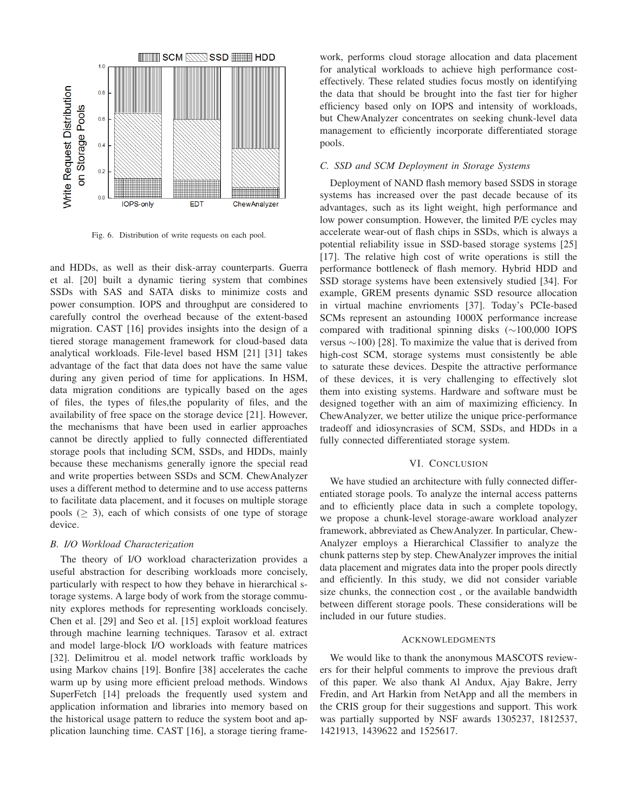

Fig. 6. Distribution of write requests on each pool.

and HDDs, as well as their disk-array counterparts. Guerra et al. [20] built a dynamic tiering system that combines SSDs with SAS and SATA disks to minimize costs and power consumption. IOPS and throughput are considered to carefully control the overhead because of the extent-based migration. CAST [16] provides insights into the design of a tiered storage management framework for cloud-based data analytical workloads. File-level based HSM [21] [31] takes advantage of the fact that data does not have the same value during any given period of time for applications. In HSM, data migration conditions are typically based on the ages of files, the types of files,the popularity of files, and the availability of free space on the storage device [21]. However, the mechanisms that have been used in earlier approaches cannot be directly applied to fully connected differentiated storage pools that including SCM, SSDs, and HDDs, mainly because these mechanisms generally ignore the special read and write properties between SSDs and SCM. ChewAnalyzer uses a different method to determine and to use access patterns to facilitate data placement, and it focuses on multiple storage pools ( $\geq$  3), each of which consists of one type of storage device.

# *B. I/O Workload Characterization*

The theory of I/O workload characterization provides a useful abstraction for describing workloads more concisely, particularly with respect to how they behave in hierarchical storage systems. A large body of work from the storage community explores methods for representing workloads concisely. Chen et al. [29] and Seo et al. [15] exploit workload features through machine learning techniques. Tarasov et al. extract and model large-block I/O workloads with feature matrices [32]. Delimitrou et al. model network traffic workloads by using Markov chains [19]. Bonfire [38] accelerates the cache warm up by using more efficient preload methods. Windows SuperFetch [14] preloads the frequently used system and application information and libraries into memory based on the historical usage pattern to reduce the system boot and application launching time. CAST [16], a storage tiering frame-

work, performs cloud storage allocation and data placement for analytical workloads to achieve high performance costeffectively. These related studies focus mostly on identifying the data that should be brought into the fast tier for higher efficiency based only on IOPS and intensity of workloads, but ChewAnalyzer concentrates on seeking chunk-level data management to efficiently incorporate differentiated storage pools.

# *C. SSD and SCM Deployment in Storage Systems*

Deployment of NAND flash memory based SSDS in storage systems has increased over the past decade because of its advantages, such as its light weight, high performance and low power consumption. However, the limited P/E cycles may accelerate wear-out of flash chips in SSDs, which is always a potential reliability issue in SSD-based storage systems [25] [17]. The relative high cost of write operations is still the performance bottleneck of flash memory. Hybrid HDD and SSD storage systems have been extensively studied [34]. For example, GREM presents dynamic SSD resource allocation in virtual machine envrioments [37]. Today's PCIe-based SCMs represent an astounding 1000X performance increase compared with traditional spinning disks (∼100,000 IOPS versus ∼100) [28]. To maximize the value that is derived from high-cost SCM, storage systems must consistently be able to saturate these devices. Despite the attractive performance of these devices, it is very challenging to effectively slot them into existing systems. Hardware and software must be designed together with an aim of maximizing efficiency. In ChewAnalyzer, we better utilize the unique price-performance tradeoff and idiosyncrasies of SCM, SSDs, and HDDs in a fully connected differentiated storage system.

# VI. CONCLUSION

We have studied an architecture with fully connected differentiated storage pools. To analyze the internal access patterns and to efficiently place data in such a complete topology, we propose a chunk-level storage-aware workload analyzer framework, abbreviated as ChewAnalyzer. In particular, Chew-Analyzer employs a Hierarchical Classifier to analyze the chunk patterns step by step. ChewAnalyzer improves the initial data placement and migrates data into the proper pools directly and efficiently. In this study, we did not consider variable size chunks, the connection cost , or the available bandwidth between different storage pools. These considerations will be included in our future studies.

# **ACKNOWLEDGMENTS**

We would like to thank the anonymous MASCOTS reviewers for their helpful comments to improve the previous draft of this paper. We also thank Al Andux, Ajay Bakre, Jerry Fredin, and Art Harkin from NetApp and all the members in the CRIS group for their suggestions and support. This work was partially supported by NSF awards 1305237, 1812537, 1421913, 1439622 and 1525617.